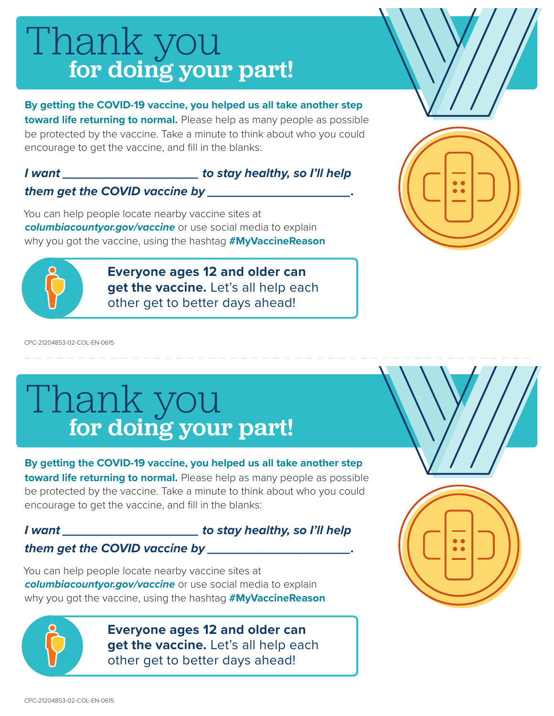# for doing your part! Thank you

**By getting the COVID-19 vaccine, you helped us all take another step toward life returning to normal.** Please help as many people as possible be protected by the vaccine. Take a minute to think about who you could encourage to get the vaccine, and fill in the blanks:

#### *I want \_\_\_\_\_\_\_\_\_\_\_\_\_\_\_\_\_\_\_ to stay healthy, so I'll help them get the COVID vaccine by \_\_\_\_\_\_\_\_\_\_\_\_\_\_\_\_\_\_\_\_.*

You can help people locate nearby vaccine sites at *columbiacountyor.gov/vaccine* or use social media to explain why you got the vaccine, using the hashtag **#MyVaccineReason**



**Everyone ages 12 and older can**  get the vaccine. Let's all help each other get to better days ahead!



CPC-21204853-02-COL-EN-0615

# for doing your part! Thank you

**By getting the COVID-19 vaccine, you helped us all take another step** 

**toward life returning to normal.** Please help as many people as possible be protected by the vaccine. Take a minute to think about who you could encourage to get the vaccine, and fill in the blanks:

### *I want \_\_\_\_\_\_\_\_\_\_\_\_\_\_\_\_\_\_\_ to stay healthy, so I'll help*

### *them get the COVID vaccine by \_\_\_\_\_\_\_\_\_\_\_\_\_\_\_\_\_\_\_\_.*

You can help people locate nearby vaccine sites at *columbiacountyor.gov/vaccine* or use social media to explain why you got the vaccine, using the hashtag **#MyVaccineReason**



**Everyone ages 12 and older can get the vaccine.** Let's all help each other get to better days ahead!